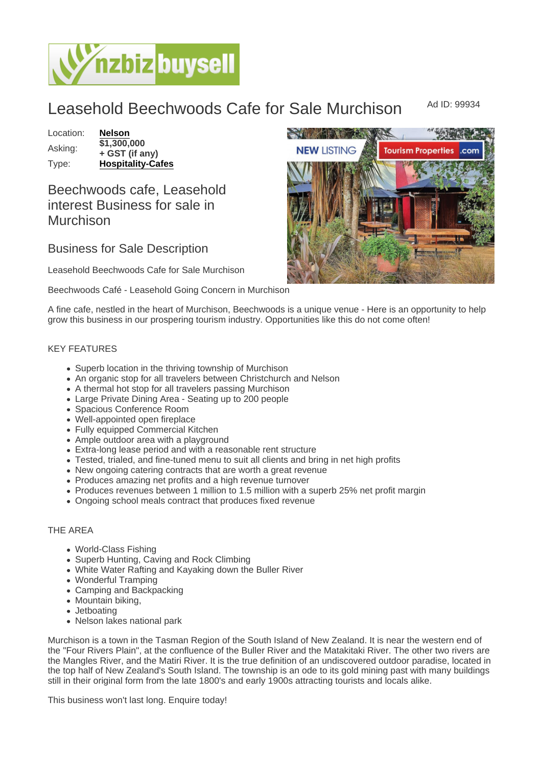Leasehold Beechwoods Cafe for Sale Murchison Ad ID: 99934

Location: [Nelson](https://www.nzbizbuysell.co.nz/businesses-for-sale/location/Nelson) Asking:  $\frac{1}{1,300,000}$ + GST (if any) Type: [Hospitality-Cafes](https://www.nzbizbuysell.co.nz/businesses-for-sale/Cafes/New-Zealand)

## Beechwoods cafe, Leasehold interest Business for sale in Murchison

Business for Sale Description

Leasehold Beechwoods Cafe for Sale Murchison

Beechwoods Café - Leasehold Going Concern in Murchison

A fine cafe, nestled in the heart of Murchison, Beechwoods is a unique venue - Here is an opportunity to help grow this business in our prospering tourism industry. Opportunities like this do not come often!

## KEY FEATURES

- Superb location in the thriving township of Murchison
- An organic stop for all travelers between Christchurch and Nelson
- A thermal hot stop for all travelers passing Murchison
- Large Private Dining Area Seating up to 200 people
- Spacious Conference Room
- Well-appointed open fireplace
- Fully equipped Commercial Kitchen
- Ample outdoor area with a playground
- Extra-long lease period and with a reasonable rent structure
- Tested, trialed, and fine-tuned menu to suit all clients and bring in net high profits
- New ongoing catering contracts that are worth a great revenue
- Produces amazing net profits and a high revenue turnover
- Produces revenues between 1 million to 1.5 million with a superb 25% net profit margin
- Ongoing school meals contract that produces fixed revenue

## THE AREA

- World-Class Fishing
- Superb Hunting, Caving and Rock Climbing
- White Water Rafting and Kayaking down the Buller River
- Wonderful Tramping
- Camping and Backpacking
- Mountain biking,
- Jetboating
- Nelson lakes national park

Murchison is a town in the Tasman Region of the South Island of New Zealand. It is near the western end of the "Four Rivers Plain", at the confluence of the Buller River and the Matakitaki River. The other two rivers are the Mangles River, and the Matiri River. It is the true definition of an undiscovered outdoor paradise, located in the top half of New Zealand's South Island. The township is an ode to its gold mining past with many buildings still in their original form from the late 1800's and early 1900s attracting tourists and locals alike.

This business won't last long. Enquire today!